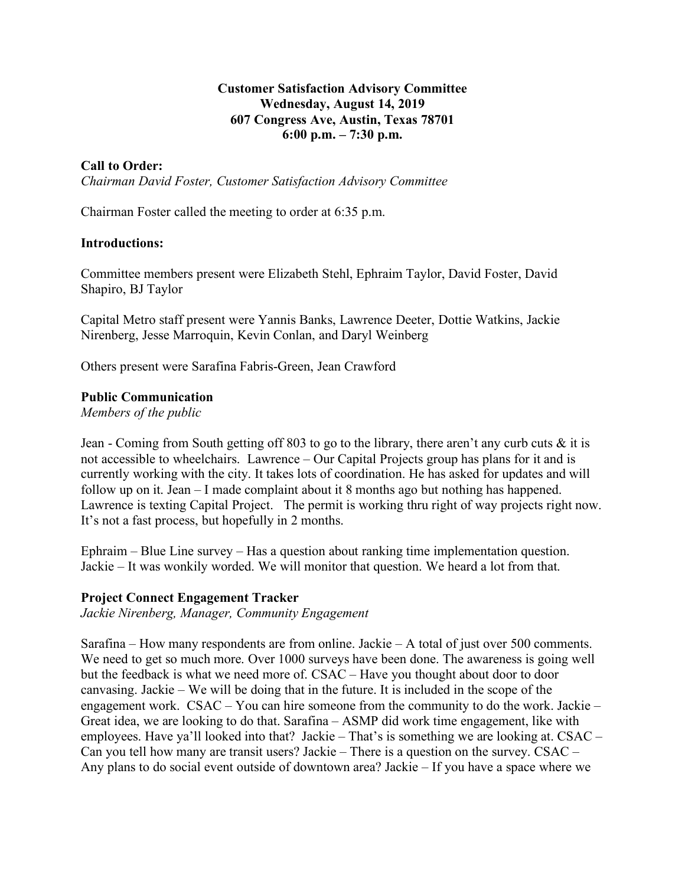### **Customer Satisfaction Advisory Committee Wednesday, August 14, 2019 607 Congress Ave, Austin, Texas 78701 6:00 p.m. – 7:30 p.m.**

### **Call to Order:**

*Chairman David Foster, Customer Satisfaction Advisory Committee*

Chairman Foster called the meeting to order at 6:35 p.m.

#### **Introductions:**

Committee members present were Elizabeth Stehl, Ephraim Taylor, David Foster, David Shapiro, BJ Taylor

Capital Metro staff present were Yannis Banks, Lawrence Deeter, Dottie Watkins, Jackie Nirenberg, Jesse Marroquin, Kevin Conlan, and Daryl Weinberg

Others present were Sarafina Fabris-Green, Jean Crawford

#### **Public Communication**

*Members of the public*

Jean - Coming from South getting off 803 to go to the library, there aren't any curb cuts  $\&$  it is not accessible to wheelchairs. Lawrence – Our Capital Projects group has plans for it and is currently working with the city. It takes lots of coordination. He has asked for updates and will follow up on it. Jean – I made complaint about it 8 months ago but nothing has happened. Lawrence is texting Capital Project. The permit is working thru right of way projects right now. It's not a fast process, but hopefully in 2 months.

Ephraim – Blue Line survey – Has a question about ranking time implementation question. Jackie – It was wonkily worded. We will monitor that question. We heard a lot from that.

#### **Project Connect Engagement Tracker**

*Jackie Nirenberg, Manager, Community Engagement*

Sarafina – How many respondents are from online. Jackie – A total of just over 500 comments. We need to get so much more. Over 1000 surveys have been done. The awareness is going well but the feedback is what we need more of. CSAC – Have you thought about door to door canvasing. Jackie – We will be doing that in the future. It is included in the scope of the engagement work. CSAC – You can hire someone from the community to do the work. Jackie – Great idea, we are looking to do that. Sarafina – ASMP did work time engagement, like with employees. Have ya'll looked into that? Jackie – That's is something we are looking at. CSAC – Can you tell how many are transit users? Jackie – There is a question on the survey. CSAC – Any plans to do social event outside of downtown area? Jackie – If you have a space where we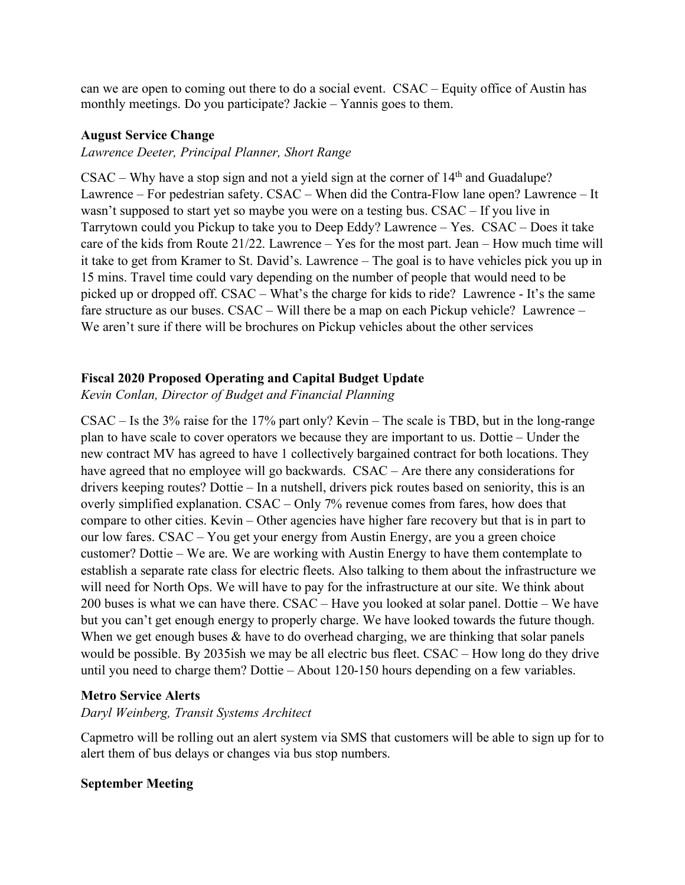can we are open to coming out there to do a social event. CSAC – Equity office of Austin has monthly meetings. Do you participate? Jackie – Yannis goes to them.

### **August Service Change**

### *Lawrence Deeter, Principal Planner, Short Range*

 $CSAC - Why have a stop sign and not a yield sign at the corner of  $14<sup>th</sup>$  and Guadalupe?$ Lawrence – For pedestrian safety. CSAC – When did the Contra-Flow lane open? Lawrence – It wasn't supposed to start yet so maybe you were on a testing bus. CSAC – If you live in Tarrytown could you Pickup to take you to Deep Eddy? Lawrence – Yes. CSAC – Does it take care of the kids from Route 21/22. Lawrence – Yes for the most part. Jean – How much time will it take to get from Kramer to St. David's. Lawrence – The goal is to have vehicles pick you up in 15 mins. Travel time could vary depending on the number of people that would need to be picked up or dropped off. CSAC – What's the charge for kids to ride? Lawrence - It's the same fare structure as our buses. CSAC – Will there be a map on each Pickup vehicle? Lawrence – We aren't sure if there will be brochures on Pickup vehicles about the other services

# **Fiscal 2020 Proposed Operating and Capital Budget Update**

*Kevin Conlan, Director of Budget and Financial Planning*

CSAC – Is the 3% raise for the 17% part only? Kevin – The scale is TBD, but in the long-range plan to have scale to cover operators we because they are important to us. Dottie – Under the new contract MV has agreed to have 1 collectively bargained contract for both locations. They have agreed that no employee will go backwards. CSAC – Are there any considerations for drivers keeping routes? Dottie – In a nutshell, drivers pick routes based on seniority, this is an overly simplified explanation. CSAC – Only 7% revenue comes from fares, how does that compare to other cities. Kevin – Other agencies have higher fare recovery but that is in part to our low fares. CSAC – You get your energy from Austin Energy, are you a green choice customer? Dottie – We are. We are working with Austin Energy to have them contemplate to establish a separate rate class for electric fleets. Also talking to them about the infrastructure we will need for North Ops. We will have to pay for the infrastructure at our site. We think about 200 buses is what we can have there. CSAC – Have you looked at solar panel. Dottie – We have but you can't get enough energy to properly charge. We have looked towards the future though. When we get enough buses  $\&$  have to do overhead charging, we are thinking that solar panels would be possible. By 2035ish we may be all electric bus fleet. CSAC – How long do they drive until you need to charge them? Dottie – About 120-150 hours depending on a few variables.

# **Metro Service Alerts**

# *Daryl Weinberg, Transit Systems Architect*

Capmetro will be rolling out an alert system via SMS that customers will be able to sign up for to alert them of bus delays or changes via bus stop numbers.

# **September Meeting**